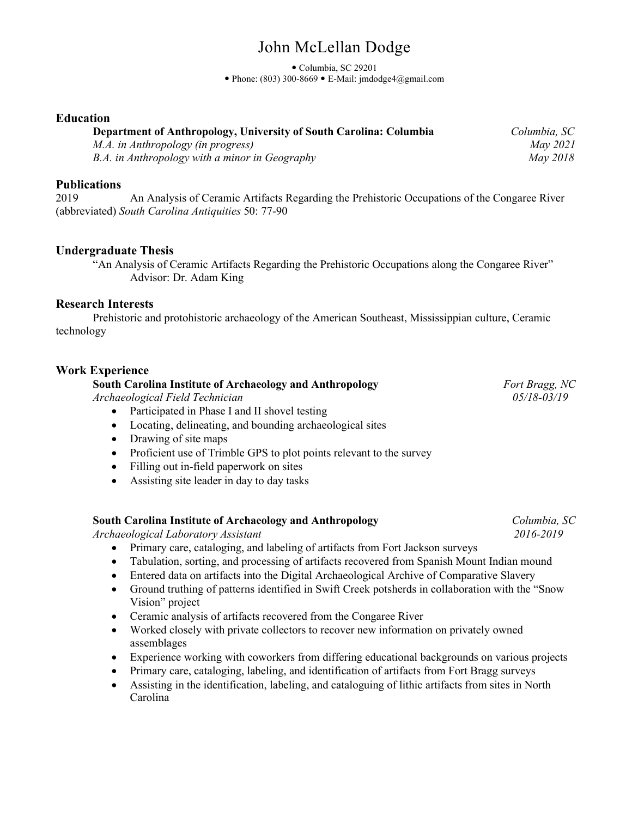# John McLellan Dodge

Columbia, SC 29201

 $\bullet$  Phone: (803) 300-8669  $\bullet$  E-Mail: jmdodge4@gmail.com

## **Education**

| Department of Anthropology, University of South Carolina: Columbia | Columbia, SC |
|--------------------------------------------------------------------|--------------|
| M.A. in Anthropology (in progress)                                 | May 2021     |
| B.A. in Anthropology with a minor in Geography                     | May 2018     |

### **Publications**

2019 An Analysis of Ceramic Artifacts Regarding the Prehistoric Occupations of the Congaree River (abbreviated) *South Carolina Antiquities* 50: 77-90

## **Undergraduate Thesis**

"An Analysis of Ceramic Artifacts Regarding the Prehistoric Occupations along the Congaree River" Advisor: Dr. Adam King

#### **Research Interests**

Prehistoric and protohistoric archaeology of the American Southeast, Mississippian culture, Ceramic technology

### **Work Experience**

**South Carolina Institute of Archaeology and Anthropology** *Fort Bragg, NC*

*Archaeological Field Technician 05/18-03/19*

- Participated in Phase I and II shovel testing
- Locating, delineating, and bounding archaeological sites
- Drawing of site maps
- Proficient use of Trimble GPS to plot points relevant to the survey
- Filling out in-field paperwork on sites
- Assisting site leader in day to day tasks

#### **South Carolina Institute of Archaeology and Anthropology** *Columbia, SC*

*Archaeological Laboratory Assistant 2016-2019*

- Primary care, cataloging, and labeling of artifacts from Fort Jackson surveys
- Tabulation, sorting, and processing of artifacts recovered from Spanish Mount Indian mound
- Entered data on artifacts into the Digital Archaeological Archive of Comparative Slavery
- Ground truthing of patterns identified in Swift Creek potsherds in collaboration with the "Snow Vision" project
- Ceramic analysis of artifacts recovered from the Congaree River
- Worked closely with private collectors to recover new information on privately owned assemblages
- Experience working with coworkers from differing educational backgrounds on various projects
- Primary care, cataloging, labeling, and identification of artifacts from Fort Bragg surveys
- Assisting in the identification, labeling, and cataloguing of lithic artifacts from sites in North Carolina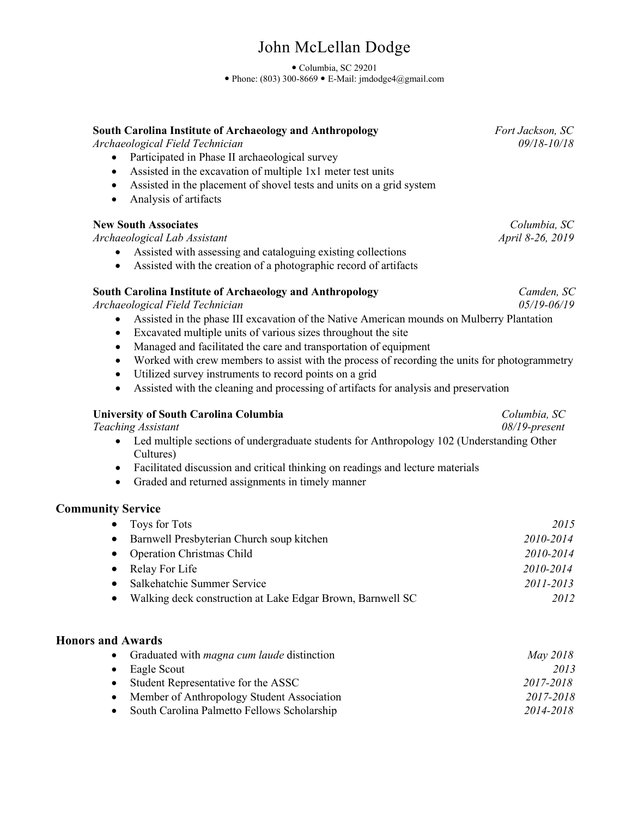# John McLellan Dodge

 Columbia, SC 29201 Phone: (803) 300-8669 E-Mail: jmdodge4@gmail.com

## *Archaeological Field Technician 09/18-10/18* • Participated in Phase II archaeological survey • Assisted in the excavation of multiple 1x1 meter test units • Assisted in the placement of shovel tests and units on a grid system • Analysis of artifacts **New South Associates** *Columbia, SC*<br>*Archaeological Lab Assistant Associates April 8-26, 2019 Archaeological Lab Assistant April 8-26, 2019* • Assisted with assessing and cataloguing existing collections • Assisted with the creation of a photographic record of artifacts **South Carolina Institute of Archaeology and Anthropology** *Camden, SC Archaeological Field Technician 05/19-06/19* • Assisted in the phase III excavation of the Native American mounds on Mulberry Plantation • Excavated multiple units of various sizes throughout the site • Managed and facilitated the care and transportation of equipment • Worked with crew members to assist with the process of recording the units for photogrammetry • Utilized survey instruments to record points on a grid

• Assisted with the cleaning and processing of artifacts for analysis and preservation

## **University of South Carolina Columbia** *Columbia, SC*

*Teaching Assistant 08/19-present*

- Led multiple sections of undergraduate students for Anthropology 102 (Understanding Other Cultures)
- Facilitated discussion and critical thinking on readings and lecture materials
- Graded and returned assignments in timely manner

## **Community Service**

| Toys for Tots                                              | 2015      |
|------------------------------------------------------------|-----------|
| Barnwell Presbyterian Church soup kitchen                  | 2010-2014 |
| <b>Operation Christmas Child</b>                           | 2010-2014 |
| Relay For Life                                             | 2010-2014 |
| Salkehatchie Summer Service                                | 2011-2013 |
| Walking deck construction at Lake Edgar Brown, Barnwell SC | 2012      |

## **Honors and Awards**

|           | • Graduated with <i>magna cum laude</i> distinction | May 2018  |
|-----------|-----------------------------------------------------|-----------|
|           | $\bullet$ Eagle Scout                               | 2013      |
|           | • Student Representative for the ASSC               | 2017-2018 |
| $\bullet$ | Member of Anthropology Student Association          | 2017-2018 |
|           | • South Carolina Palmetto Fellows Scholarship       | 2014-2018 |

**South Carolina Institute of Archaeology and Anthropology** *Fort Jackson, SC*